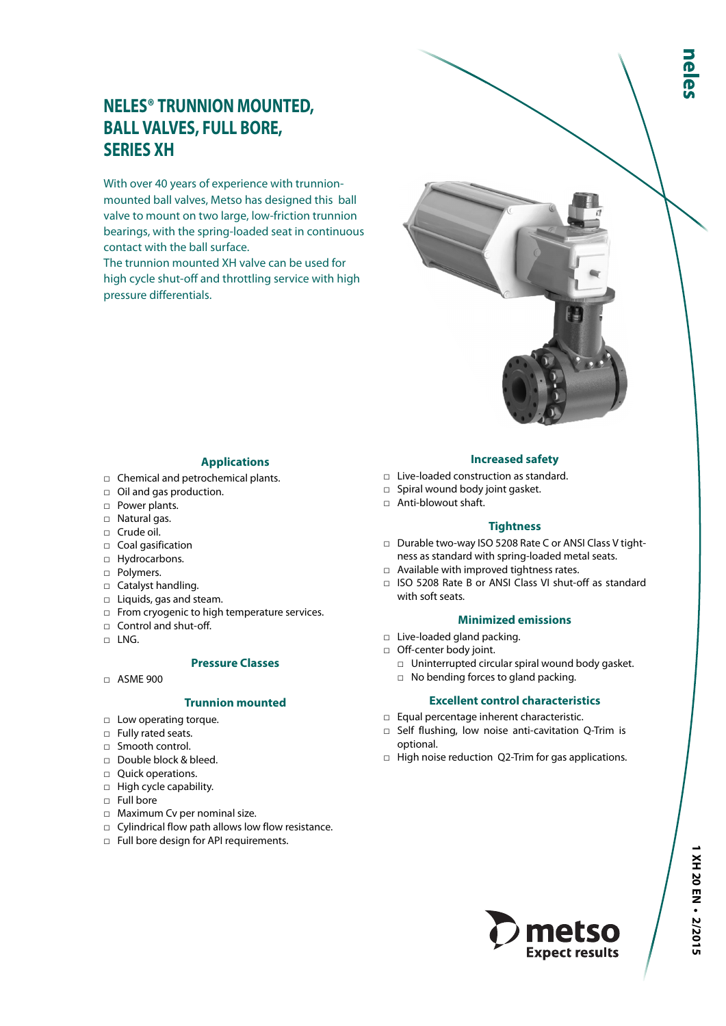# **NELES® TRUNNION MOUNTED, BALL VALVES, FULL BORE, SERIES XH**

With over 40 years of experience with trunnionmounted ball valves, Metso has designed this ball valve to mount on two large, low-friction trunnion bearings, with the spring-loaded seat in continuous contact with the ball surface.

The trunnion mounted XH valve can be used for high cycle shut-off and throttling service with high pressure differentials.

# **Applications**

- □ Chemical and petrochemical plants.
- □ Oil and gas production.
- □ Power plants.
- □ Natural gas.
- □ Crude oil.
- □ Coal gasification
- □ Hydrocarbons.
- □ Polymers.
- □ Catalyst handling.
- □ Liquids, gas and steam.
- □ From cryogenic to high temperature services.
- □ Control and shut-off.
- $\neg$  LNG.

#### **Pressure Classes**

□ ASME 900

#### **Trunnion mounted**

- □ Low operating torque.
- □ Fully rated seats.
- □ Smooth control.
- □ Double block & bleed.
- □ Quick operations.
- □ High cycle capability.
- □ Full bore
- □ Maximum Cv per nominal size.
- □ Cylindrical flow path allows low flow resistance.
- □ Full bore design for API requirements.

### **Increased safety**

- $\Box$  Live-loaded construction as standard.
- □ Spiral wound body joint gasket.
- □ Anti-blowout shaft.

#### **Tightness**

- □ Durable two-way ISO 5208 Rate C or ANSI Class V tightness as standard with spring-loaded metal seats.
- □ Available with improved tightness rates.
- □ ISO 5208 Rate B or ANSI Class VI shut-off as standard with soft seats.

#### **Minimized emissions**

- □ Live-loaded gland packing.
- □ Off-center body joint.
	- $\Box$  Uninterrupted circular spiral wound body gasket.
	- □ No bending forces to gland packing.

#### **Excellent control characteristics**

- □ Equal percentage inherent characteristic.
- □ Self flushing, low noise anti-cavitation Q-Trim is optional.
- □ High noise reduction Q2-Trim for gas applications.

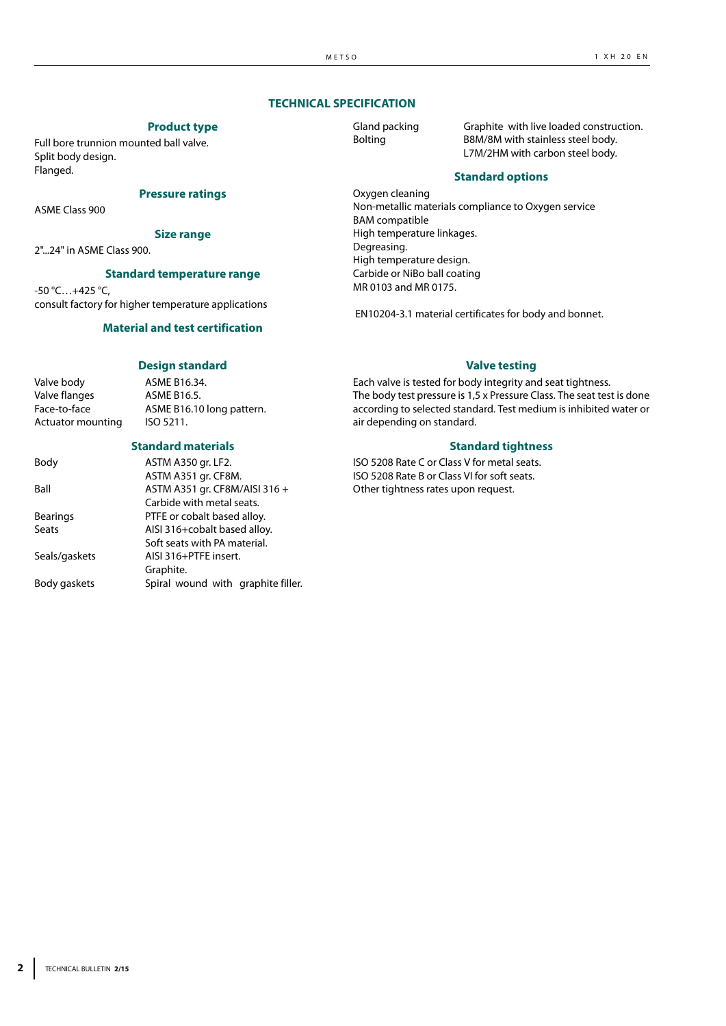# **TECHNICAL SPECIFICATION**

#### **Product type**

Full bore trunnion mounted ball valve. Split body design. Flanged.

#### **Pressure ratings**

ASME Class 900

#### **Size range**

2"...24" in ASME Class 900.

#### **Standard temperature range** -50 °C…+425 °C,

consult factory for higher temperature applications

#### **Material and test certification**

# **Design standard**

Valve body **ASME B16.34.** Valve flanges ASME B16.5. Face-to-face ASME B16.10 long pattern. Actuator mounting ISO 5211.

#### **Standard materials**

| Body            | ASTM A350 gr. LF2.                 |  |  |  |  |  |  |
|-----------------|------------------------------------|--|--|--|--|--|--|
|                 | ASTM A351 gr. CF8M.                |  |  |  |  |  |  |
| Ball            | ASTM A351 gr. CF8M/AISI 316 +      |  |  |  |  |  |  |
|                 | Carbide with metal seats.          |  |  |  |  |  |  |
| <b>Bearings</b> | PTFE or cobalt based alloy.        |  |  |  |  |  |  |
| Seats           | AISI 316+cobalt based alloy.       |  |  |  |  |  |  |
|                 | Soft seats with PA material.       |  |  |  |  |  |  |
| Seals/gaskets   | AISI 316+PTFE insert.              |  |  |  |  |  |  |
|                 | Graphite.                          |  |  |  |  |  |  |
| Body gaskets    | Spiral wound with graphite filler. |  |  |  |  |  |  |
|                 |                                    |  |  |  |  |  |  |

Gland packing Graphite with live loaded construction. Bolting B8M/8M with stainless steel body. L7M/2HM with carbon steel body.

#### **Standard options**

Oxygen cleaning Non-metallic materials compliance to Oxygen service BAM compatible High temperature linkages. Degreasing. High temperature design. Carbide or NiBo ball coating MR 0103 and MR 0175.

EN10204-3.1 material certificates for body and bonnet.

#### **Valve testing**

Each valve is tested for body integrity and seat tightness. The body test pressure is 1,5 x Pressure Class. The seat test is done according to selected standard. Test medium is inhibited water or air depending on standard.

#### **Standard tightness**

ISO 5208 Rate C or Class V for metal seats. ISO 5208 Rate B or Class VI for soft seats. Other tightness rates upon request.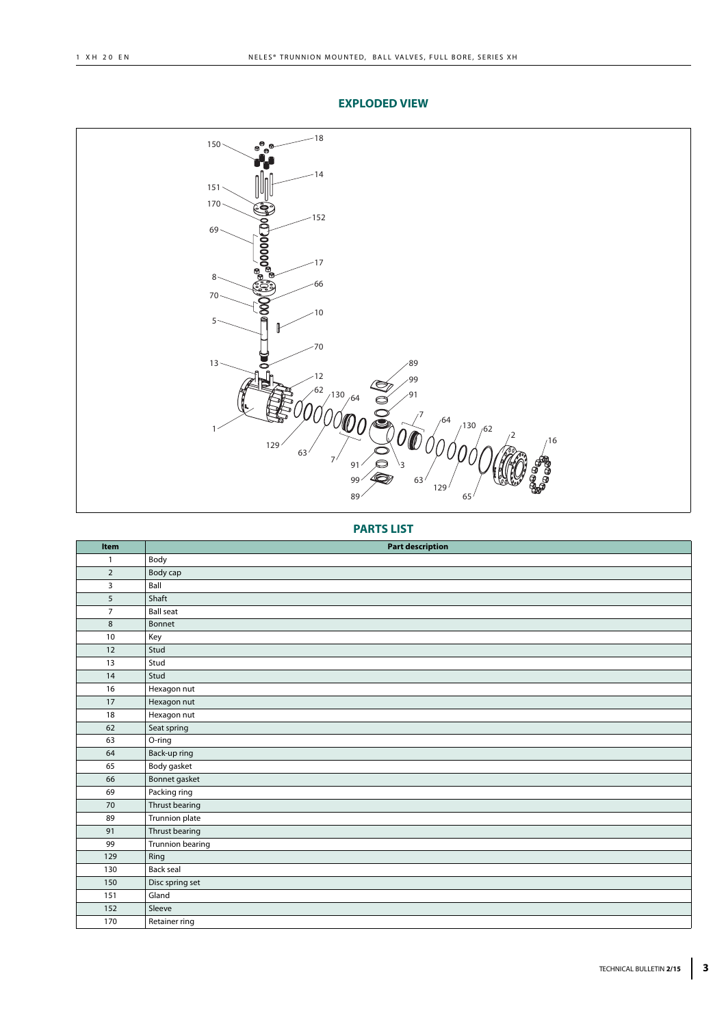# **EXPLODED VIEW**



# **PARTS LIST**

| Item           | <b>Part description</b> |
|----------------|-------------------------|
| $\mathbf{1}$   | Body                    |
| $\overline{2}$ | Body cap                |
| 3              | Ball                    |
| 5              | Shaft                   |
| $\overline{7}$ | <b>Ball seat</b>        |
| $\,8\,$        | Bonnet                  |
| 10             | Key                     |
| 12             | Stud                    |
| 13             | Stud                    |
| 14             | Stud                    |
| 16             | Hexagon nut             |
| 17             | Hexagon nut             |
| 18             | Hexagon nut             |
| 62             | Seat spring             |
| 63             | O-ring                  |
| 64             | Back-up ring            |
| 65             | Body gasket             |
| 66             | Bonnet gasket           |
| 69             | Packing ring            |
| 70             | Thrust bearing          |
| 89             | Trunnion plate          |
| 91             | Thrust bearing          |
| 99             | Trunnion bearing        |
| 129            | Ring                    |
| 130            | Back seal               |
| 150            | Disc spring set         |
| 151            | Gland                   |
| 152            | Sleeve                  |
| 170            | Retainer ring           |
|                |                         |